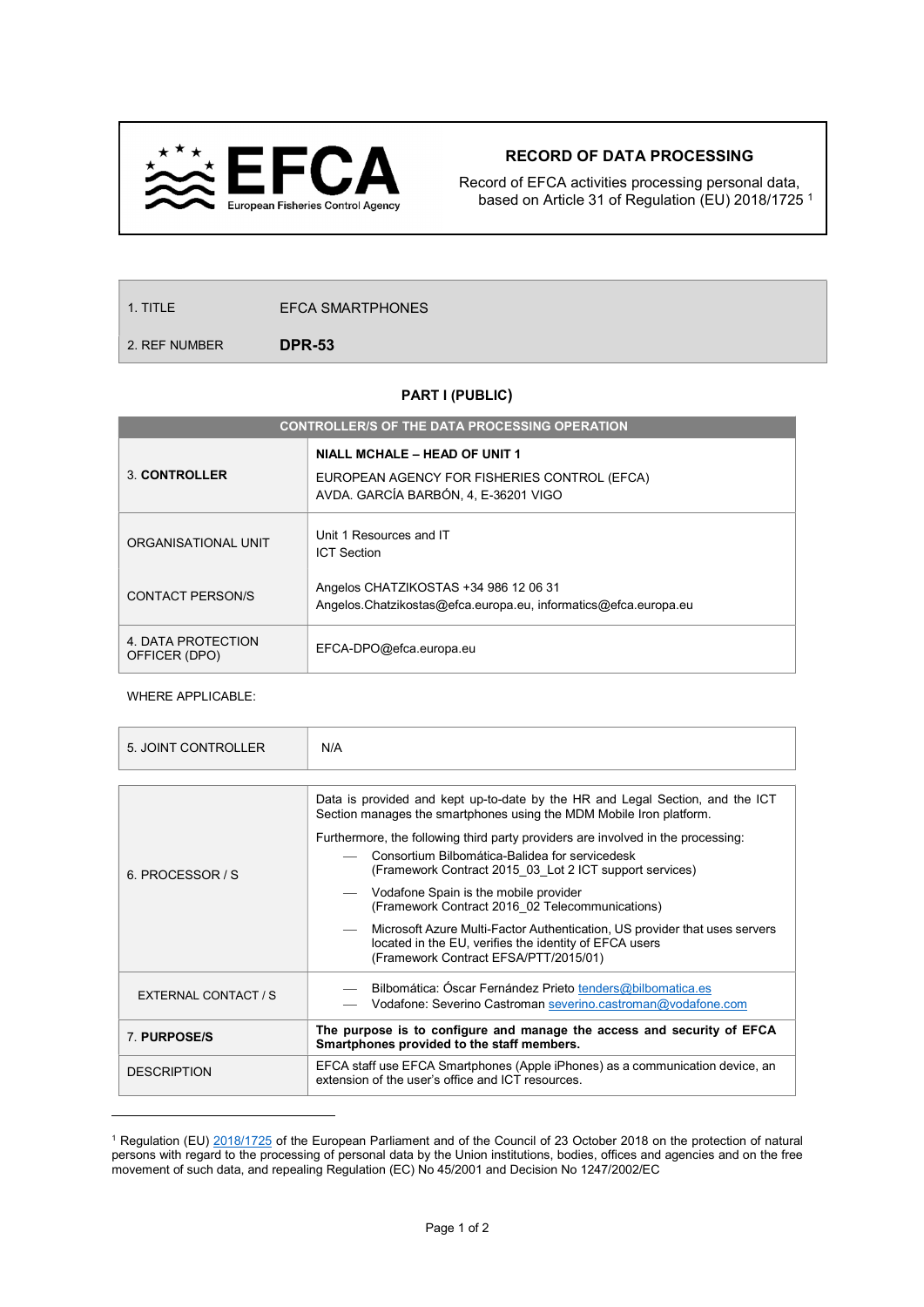

## RECORD OF DATA PROCESSING

Record of EFCA activities processing personal data, based on Article 31 of Regulation (EU) 2018/1725 <sup>1</sup>

1. TITLE EFCA SMARTPHONES

2. REF NUMBER
DPR-53

## PART I (PUBLIC)

| <b>CONTROLLER/S OF THE DATA PROCESSING OPERATION</b> |                                                                                                          |  |  |  |
|------------------------------------------------------|----------------------------------------------------------------------------------------------------------|--|--|--|
|                                                      | <b>NIALL MCHALE - HEAD OF UNIT 1</b>                                                                     |  |  |  |
| 3 CONTROLLER                                         | EUROPEAN AGENCY FOR FISHERIES CONTROL (EFCA)<br>AVDA. GARCÍA BARBÓN, 4, E-36201 VIGO                     |  |  |  |
| ORGANISATIONAL UNIT                                  | Unit 1 Resources and IT<br><b>ICT Section</b>                                                            |  |  |  |
| <b>CONTACT PERSON/S</b>                              | Angelos CHATZIKOSTAS +34 986 12 06 31<br>Angelos.Chatzikostas@efca.europa.eu, informatics@efca.europa.eu |  |  |  |
| 4. DATA PROTECTION<br>OFFICER (DPO)                  | EFCA-DPO@efca.europa.eu                                                                                  |  |  |  |

WHERE APPLICABLE:

| 5. JOINT CONTROLLER  | N/A                                                                                                                                                                                           |  |  |  |
|----------------------|-----------------------------------------------------------------------------------------------------------------------------------------------------------------------------------------------|--|--|--|
|                      |                                                                                                                                                                                               |  |  |  |
|                      | Data is provided and kept up-to-date by the HR and Legal Section, and the ICT<br>Section manages the smartphones using the MDM Mobile Iron platform.                                          |  |  |  |
| 6. PROCESSOR / S     | Furthermore, the following third party providers are involved in the processing:<br>Consortium Bilbomática-Balidea for servicedesk<br>(Framework Contract 2015 03 Lot 2 ICT support services) |  |  |  |
|                      | Vodafone Spain is the mobile provider<br>(Framework Contract 2016 02 Telecommunications)                                                                                                      |  |  |  |
|                      | Microsoft Azure Multi-Factor Authentication, US provider that uses servers<br>located in the EU, verifies the identity of EFCA users<br>(Framework Contract EFSA/PTT/2015/01)                 |  |  |  |
| EXTERNAL CONTACT / S | - Bilbomática: Óscar Fernández Prieto tenders@bilbomatica.es<br>Vodafone: Severino Castroman severino.castroman@vodafone.com                                                                  |  |  |  |
| 7 PURPOSE/S          | The purpose is to configure and manage the access and security of EFCA<br>Smartphones provided to the staff members.                                                                          |  |  |  |
| <b>DESCRIPTION</b>   | EFCA staff use EFCA Smartphones (Apple iPhones) as a communication device, an<br>extension of the user's office and ICT resources.                                                            |  |  |  |
|                      |                                                                                                                                                                                               |  |  |  |

<sup>&</sup>lt;sup>1</sup> Regulation (EU) 2018/1725 of the European Parliament and of the Council of 23 October 2018 on the protection of natural persons with regard to the processing of personal data by the Union institutions, bodies, offices and agencies and on the free movement of such data, and repealing Regulation (EC) No 45/2001 and Decision No 1247/2002/EC